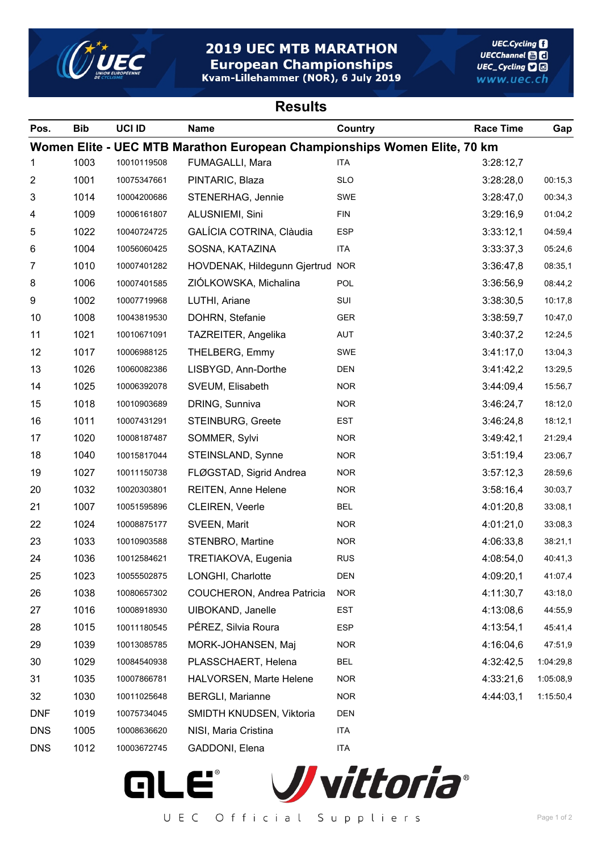

## **2019 UEC MTB MARATHON** European Championships<br>Kvam-Lillehammer (NOR), 6 July 2019

**UEC.Cycling** UECChannel **B**O UEC\_Cycling **D** www.uec.ch

## **Results**

| Pos.           | <b>Bib</b> | UCI ID      | <b>Name</b>                                                              | <b>Country</b> | <b>Race Time</b> | Gap       |
|----------------|------------|-------------|--------------------------------------------------------------------------|----------------|------------------|-----------|
|                |            |             | Women Elite - UEC MTB Marathon European Championships Women Elite, 70 km |                |                  |           |
| 1              | 1003       | 10010119508 | FUMAGALLI, Mara                                                          | <b>ITA</b>     | 3:28:12,7        |           |
| $\overline{2}$ | 1001       | 10075347661 | PINTARIC, Blaza                                                          | <b>SLO</b>     | 3:28:28,0        | 00:15,3   |
| 3              | 1014       | 10004200686 | STENERHAG, Jennie                                                        | SWE            | 3:28:47,0        | 00:34,3   |
| 4              | 1009       | 10006161807 | ALUSNIEMI, Sini                                                          | <b>FIN</b>     | 3:29:16,9        | 01:04,2   |
| 5              | 1022       | 10040724725 | GALÍCIA COTRINA, Clàudia                                                 | <b>ESP</b>     | 3:33:12,1        | 04:59,4   |
| 6              | 1004       | 10056060425 | SOSNA, KATAZINA                                                          | ITA            | 3:33:37,3        | 05:24,6   |
| $\overline{7}$ | 1010       | 10007401282 | HOVDENAK, Hildegunn Gjertrud                                             | <b>NOR</b>     | 3:36:47,8        | 08:35,1   |
| 8              | 1006       | 10007401585 | ZIÓLKOWSKA, Michalina                                                    | POL            | 3:36:56,9        | 08:44,2   |
| 9              | 1002       | 10007719968 | LUTHI, Ariane                                                            | SUI            | 3:38:30,5        | 10:17,8   |
| 10             | 1008       | 10043819530 | DOHRN, Stefanie                                                          | <b>GER</b>     | 3:38:59,7        | 10:47,0   |
| 11             | 1021       | 10010671091 | TAZREITER, Angelika                                                      | <b>AUT</b>     | 3:40:37,2        | 12:24,5   |
| 12             | 1017       | 10006988125 | THELBERG, Emmy                                                           | SWE            | 3:41:17,0        | 13:04,3   |
| 13             | 1026       | 10060082386 | LISBYGD, Ann-Dorthe                                                      | <b>DEN</b>     | 3:41:42,2        | 13:29,5   |
| 14             | 1025       | 10006392078 | SVEUM, Elisabeth                                                         | <b>NOR</b>     | 3:44:09,4        | 15:56,7   |
| 15             | 1018       | 10010903689 | DRING, Sunniva                                                           | <b>NOR</b>     | 3:46:24,7        | 18:12,0   |
| 16             | 1011       | 10007431291 | STEINBURG, Greete                                                        | <b>EST</b>     | 3:46:24,8        | 18:12,1   |
| 17             | 1020       | 10008187487 | SOMMER, Sylvi                                                            | <b>NOR</b>     | 3:49:42,1        | 21:29,4   |
| 18             | 1040       | 10015817044 | STEINSLAND, Synne                                                        | <b>NOR</b>     | 3:51:19,4        | 23:06,7   |
| 19             | 1027       | 10011150738 | FLØGSTAD, Sigrid Andrea                                                  | <b>NOR</b>     | 3:57:12,3        | 28:59,6   |
| 20             | 1032       | 10020303801 | <b>REITEN, Anne Helene</b>                                               | <b>NOR</b>     | 3:58:16,4        | 30:03,7   |
| 21             | 1007       | 10051595896 | CLEIREN, Veerle                                                          | <b>BEL</b>     | 4:01:20,8        | 33:08,1   |
| 22             | 1024       | 10008875177 | SVEEN, Marit                                                             | <b>NOR</b>     | 4:01:21,0        | 33:08,3   |
| 23             | 1033       | 10010903588 | STENBRO, Martine                                                         | <b>NOR</b>     | 4:06:33,8        | 38:21,1   |
| 24             | 1036       | 10012584621 | TRETIAKOVA, Eugenia                                                      | <b>RUS</b>     | 4:08:54,0        | 40:41,3   |
| 25             | 1023       | 10055502875 | LONGHI, Charlotte                                                        | DEN            | 4:09:20,1        | 41:07,4   |
| 26             | 1038       | 10080657302 | COUCHERON, Andrea Patricia                                               | <b>NOR</b>     | 4:11:30,7        | 43:18,0   |
| 27             | 1016       | 10008918930 | UIBOKAND, Janelle                                                        | <b>EST</b>     | 4:13:08,6        | 44:55,9   |
| 28             | 1015       | 10011180545 | PÉREZ, Silvia Roura                                                      | <b>ESP</b>     | 4:13:54,1        | 45:41,4   |
| 29             | 1039       | 10013085785 | MORK-JOHANSEN, Maj                                                       | <b>NOR</b>     | 4:16:04,6        | 47:51,9   |
| 30             | 1029       | 10084540938 | PLASSCHAERT, Helena                                                      | <b>BEL</b>     | 4:32:42,5        | 1:04:29,8 |
| 31             | 1035       | 10007866781 | HALVORSEN, Marte Helene                                                  | <b>NOR</b>     | 4:33:21,6        | 1:05:08,9 |
| 32             | 1030       | 10011025648 | <b>BERGLI, Marianne</b>                                                  | <b>NOR</b>     | 4:44:03,1        | 1:15:50,4 |
| <b>DNF</b>     | 1019       | 10075734045 | SMIDTH KNUDSEN, Viktoria                                                 | <b>DEN</b>     |                  |           |
| <b>DNS</b>     | 1005       | 10008636620 | NISI, Maria Cristina                                                     | ITA            |                  |           |
| <b>DNS</b>     | 1012       | 10003672745 | GADDONI, Elena                                                           | <b>ITA</b>     |                  |           |